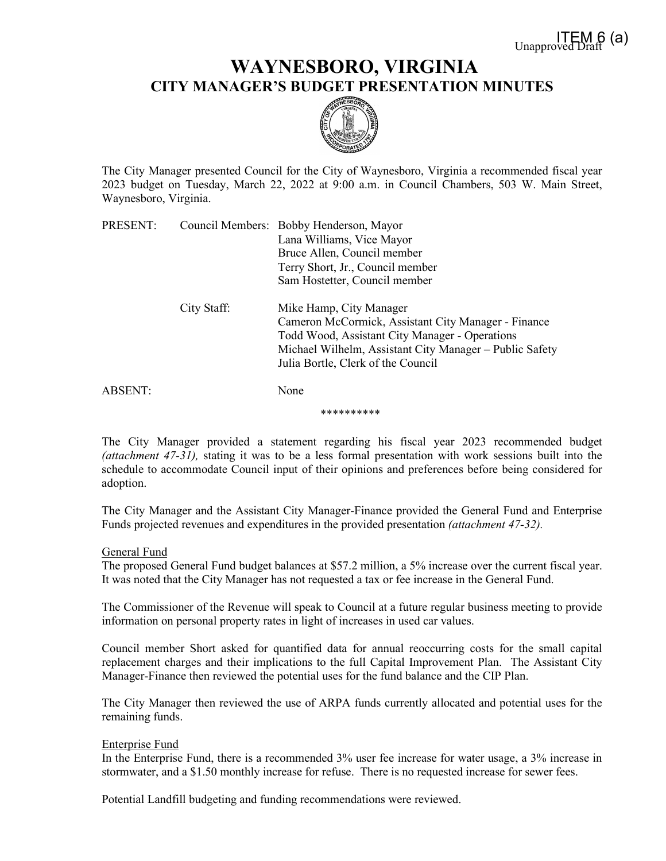## **WAYNESBORO, VIRGINIA CITY MANAGER'S BUDGET PRESENTATION MINUTES**



The City Manager presented Council for the City of Waynesboro, Virginia a recommended fiscal year 2023 budget on Tuesday, March 22, 2022 at 9:00 a.m. in Council Chambers, 503 W. Main Street, Waynesboro, Virginia.

| PRESENT: |             | Council Members: Bobby Henderson, Mayor                 |
|----------|-------------|---------------------------------------------------------|
|          |             | Lana Williams, Vice Mayor                               |
|          |             | Bruce Allen, Council member                             |
|          |             | Terry Short, Jr., Council member                        |
|          |             | Sam Hostetter, Council member                           |
|          | City Staff: | Mike Hamp, City Manager                                 |
|          |             | Cameron McCormick, Assistant City Manager - Finance     |
|          |             | Todd Wood, Assistant City Manager - Operations          |
|          |             | Michael Wilhelm, Assistant City Manager - Public Safety |
|          |             | Julia Bortle, Clerk of the Council                      |
| ABSENT:  |             | None                                                    |
|          |             |                                                         |

\*\*\*\*\*\*\*\*\*\*

The City Manager provided a statement regarding his fiscal year 2023 recommended budget *(attachment 47-31),* stating it was to be a less formal presentation with work sessions built into the schedule to accommodate Council input of their opinions and preferences before being considered for adoption.

The City Manager and the Assistant City Manager-Finance provided the General Fund and Enterprise Funds projected revenues and expenditures in the provided presentation *(attachment 47-32).*

## General Fund

The proposed General Fund budget balances at \$57.2 million, a 5% increase over the current fiscal year. It was noted that the City Manager has not requested a tax or fee increase in the General Fund.

The Commissioner of the Revenue will speak to Council at a future regular business meeting to provide information on personal property rates in light of increases in used car values.

Council member Short asked for quantified data for annual reoccurring costs for the small capital replacement charges and their implications to the full Capital Improvement Plan. The Assistant City Manager-Finance then reviewed the potential uses for the fund balance and the CIP Plan.

The City Manager then reviewed the use of ARPA funds currently allocated and potential uses for the remaining funds.

## Enterprise Fund

In the Enterprise Fund, there is a recommended 3% user fee increase for water usage, a 3% increase in stormwater, and a \$1.50 monthly increase for refuse. There is no requested increase for sewer fees.

Potential Landfill budgeting and funding recommendations were reviewed.